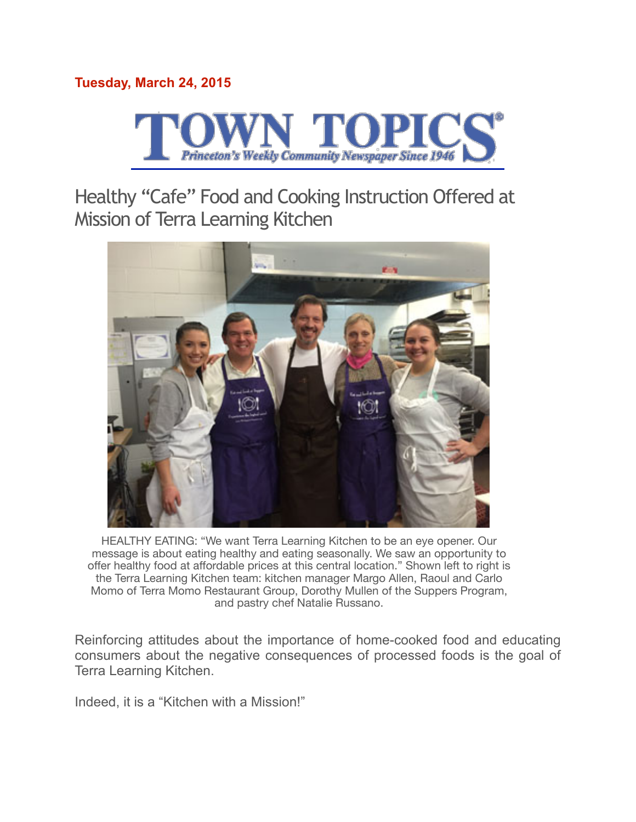# **Tuesday, March 24, 2015**



Healthy "Cafe" Food and Cooking Instruction Offered at Mission of Terra Learning Kitchen



HEALTHY EATING: "We want Terra Learning Kitchen to be an eye opener. Our message is about eating healthy and eating seasonally. We saw an opportunity to offer healthy food at affordable prices at this central location." Shown left to right is the Terra Learning Kitchen team: kitchen manager Margo Allen, Raoul and Carlo Momo of Terra Momo Restaurant Group, Dorothy Mullen of the Suppers Program, and pastry chef Natalie Russano.

Reinforcing attitudes about the importance of home-cooked food and educating consumers about the negative consequences of processed foods is the goal of Terra Learning Kitchen.

Indeed, it is a "Kitchen with a Mission!"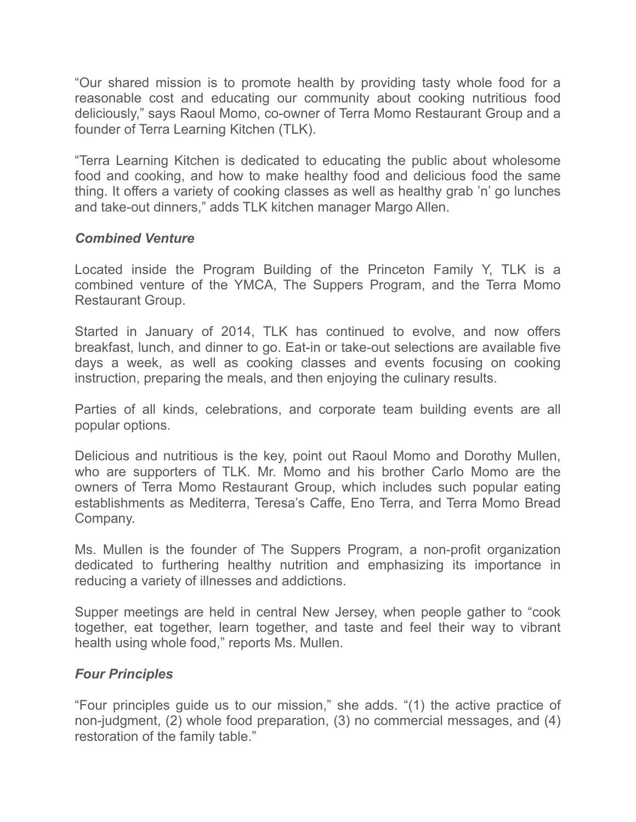"Our shared mission is to promote health by providing tasty whole food for a reasonable cost and educating our community about cooking nutritious food deliciously," says Raoul Momo, co-owner of Terra Momo Restaurant Group and a founder of Terra Learning Kitchen (TLK).

"Terra Learning Kitchen is dedicated to educating the public about wholesome food and cooking, and how to make healthy food and delicious food the same thing. It offers a variety of cooking classes as well as healthy grab 'n' go lunches and take-out dinners," adds TLK kitchen manager Margo Allen.

## *Combined Venture*

Located inside the Program Building of the Princeton Family Y, TLK is a combined venture of the YMCA, The Suppers Program, and the Terra Momo Restaurant Group.

Started in January of 2014, TLK has continued to evolve, and now offers breakfast, lunch, and dinner to go. Eat-in or take-out selections are available five days a week, as well as cooking classes and events focusing on cooking instruction, preparing the meals, and then enjoying the culinary results.

Parties of all kinds, celebrations, and corporate team building events are all popular options.

Delicious and nutritious is the key, point out Raoul Momo and Dorothy Mullen, who are supporters of TLK. Mr. Momo and his brother Carlo Momo are the owners of Terra Momo Restaurant Group, which includes such popular eating establishments as Mediterra, Teresa's Caffe, Eno Terra, and Terra Momo Bread Company.

Ms. Mullen is the founder of The Suppers Program, a non-profit organization dedicated to furthering healthy nutrition and emphasizing its importance in reducing a variety of illnesses and addictions.

Supper meetings are held in central New Jersey, when people gather to "cook together, eat together, learn together, and taste and feel their way to vibrant health using whole food," reports Ms. Mullen.

## *Four Principles*

"Four principles guide us to our mission," she adds. "(1) the active practice of non-judgment, (2) whole food preparation, (3) no commercial messages, and (4) restoration of the family table."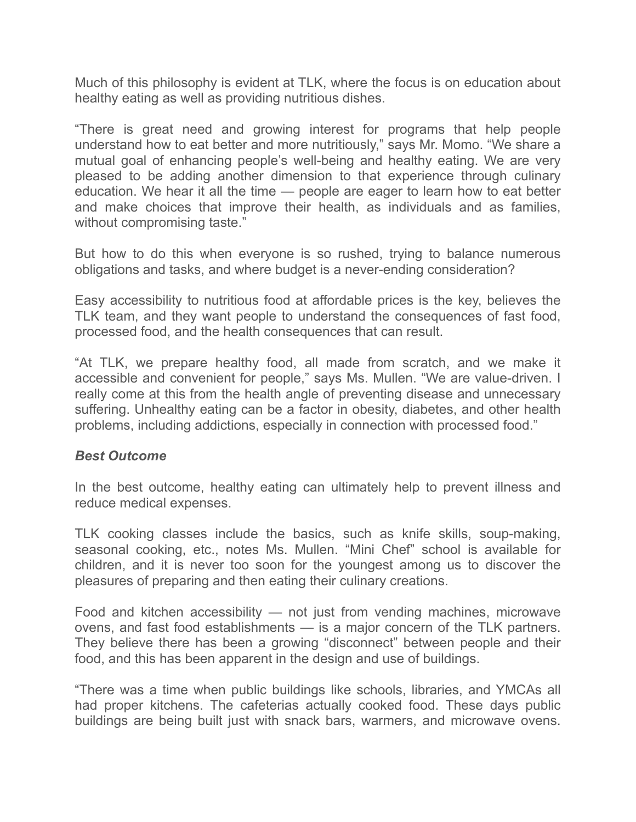Much of this philosophy is evident at TLK, where the focus is on education about healthy eating as well as providing nutritious dishes.

"There is great need and growing interest for programs that help people understand how to eat better and more nutritiously," says Mr. Momo. "We share a mutual goal of enhancing people's well-being and healthy eating. We are very pleased to be adding another dimension to that experience through culinary education. We hear it all the time — people are eager to learn how to eat better and make choices that improve their health, as individuals and as families, without compromising taste."

But how to do this when everyone is so rushed, trying to balance numerous obligations and tasks, and where budget is a never-ending consideration?

Easy accessibility to nutritious food at affordable prices is the key, believes the TLK team, and they want people to understand the consequences of fast food, processed food, and the health consequences that can result.

"At TLK, we prepare healthy food, all made from scratch, and we make it accessible and convenient for people," says Ms. Mullen. "We are value-driven. I really come at this from the health angle of preventing disease and unnecessary suffering. Unhealthy eating can be a factor in obesity, diabetes, and other health problems, including addictions, especially in connection with processed food."

#### *Best Outcome*

In the best outcome, healthy eating can ultimately help to prevent illness and reduce medical expenses.

TLK cooking classes include the basics, such as knife skills, soup-making, seasonal cooking, etc., notes Ms. Mullen. "Mini Chef" school is available for children, and it is never too soon for the youngest among us to discover the pleasures of preparing and then eating their culinary creations.

Food and kitchen accessibility — not just from vending machines, microwave ovens, and fast food establishments — is a major concern of the TLK partners. They believe there has been a growing "disconnect" between people and their food, and this has been apparent in the design and use of buildings.

"There was a time when public buildings like schools, libraries, and YMCAs all had proper kitchens. The cafeterias actually cooked food. These days public buildings are being built just with snack bars, warmers, and microwave ovens.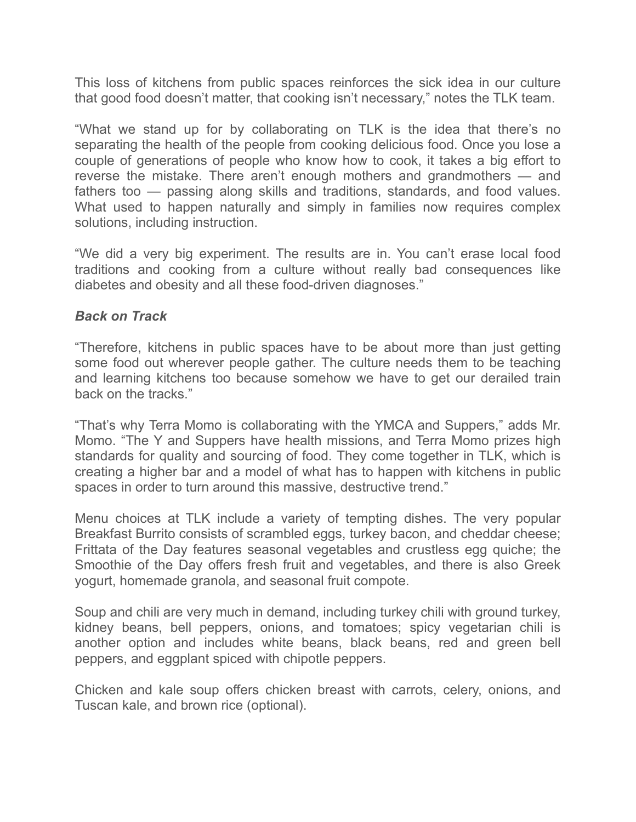This loss of kitchens from public spaces reinforces the sick idea in our culture that good food doesn't matter, that cooking isn't necessary," notes the TLK team.

"What we stand up for by collaborating on TLK is the idea that there's no separating the health of the people from cooking delicious food. Once you lose a couple of generations of people who know how to cook, it takes a big effort to reverse the mistake. There aren't enough mothers and grandmothers — and fathers too — passing along skills and traditions, standards, and food values. What used to happen naturally and simply in families now requires complex solutions, including instruction.

"We did a very big experiment. The results are in. You can't erase local food traditions and cooking from a culture without really bad consequences like diabetes and obesity and all these food-driven diagnoses."

## *Back on Track*

"Therefore, kitchens in public spaces have to be about more than just getting some food out wherever people gather. The culture needs them to be teaching and learning kitchens too because somehow we have to get our derailed train back on the tracks."

"That's why Terra Momo is collaborating with the YMCA and Suppers," adds Mr. Momo. "The Y and Suppers have health missions, and Terra Momo prizes high standards for quality and sourcing of food. They come together in TLK, which is creating a higher bar and a model of what has to happen with kitchens in public spaces in order to turn around this massive, destructive trend."

Menu choices at TLK include a variety of tempting dishes. The very popular Breakfast Burrito consists of scrambled eggs, turkey bacon, and cheddar cheese; Frittata of the Day features seasonal vegetables and crustless egg quiche; the Smoothie of the Day offers fresh fruit and vegetables, and there is also Greek yogurt, homemade granola, and seasonal fruit compote.

Soup and chili are very much in demand, including turkey chili with ground turkey, kidney beans, bell peppers, onions, and tomatoes; spicy vegetarian chili is another option and includes white beans, black beans, red and green bell peppers, and eggplant spiced with chipotle peppers.

Chicken and kale soup offers chicken breast with carrots, celery, onions, and Tuscan kale, and brown rice (optional).